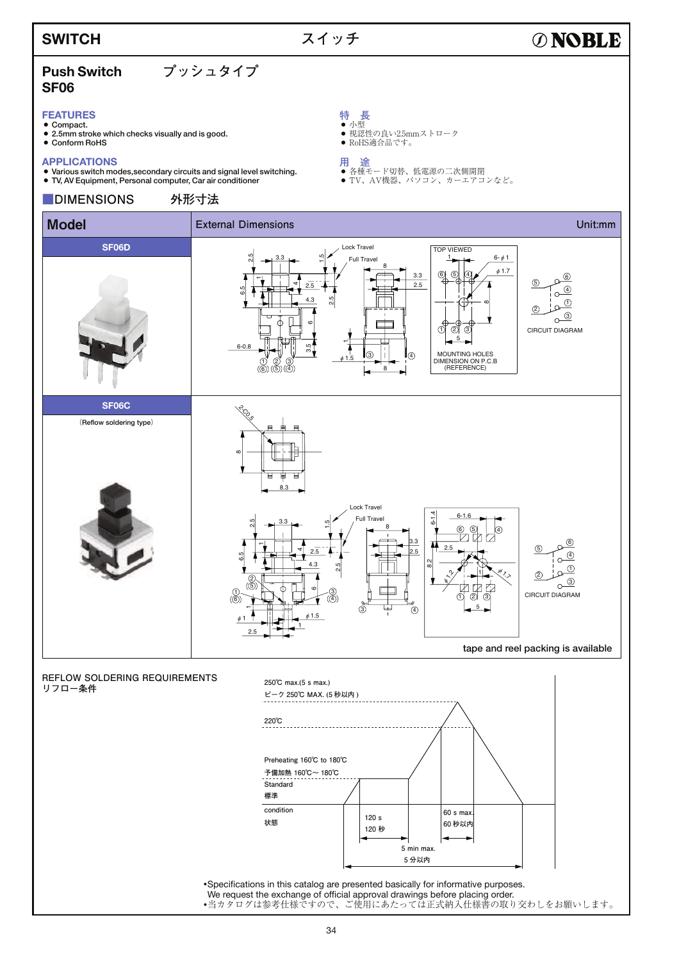### **SWITCH**

## **スイッチ**

# **ØNOBLE**

### **Push Switch プッシュタイプ SF06**

**SF06D**

#### **FEATURES**

- Compact.
- 2.5mm stroke which checks visually and is good.
- $\bullet$  Conform RoHS

#### **APPLICATIONS**

- 7 Various switch modes,secondary circuits and signal level switching.
- 

**用 途**<br>● 各種モード切替、低電源の二次側開閉<br>● TV、AV機器、パソコン、カーエアコンなど。 7 TV, AV Equipment, Personal computer, Car air conditioner **■DIMENSIONS 外形寸法 Model <b>External Dimensions** Controller Controller Controller Controller Controller Controller Controller Controller Controller Controller Controller Controller Controller Controller Controller Controller Controller Contro Lock Travel VIEWED ..<br>ა| ا¤ٍ 1 6-φ1 3.3 Full Travel 8 φ1.7 3.3 6) (5) (4 6 2.5 5 4 2.5  $\circledA$  $6 - 0.8$  $\sim$ 4.3 .<br>ი|  $\odot$ თ 2  $\overline{3}$ ဖ CIRCUIT DIAGRAM 1) (2) (3 5  $\overline{\phantom{0}}$ .<br>თ. MOUNTING HOLES 3 4 φ1.5 1) (2) (3<br>D)((5)(4 DIMENSION ON P.C.B (REFERENCE) 8

**特 長** 7 小型

● 視認性の良い2.5mmストローク

● RoHS適合品です。



**REFLOW SOLDERING REQUIREMENTS リフロー条件**



• Specifications in this catalog are presented basically for informative purposes. We request the exchange of official approval drawings before placing order. •当カタログは参考仕様ですので、ご使用にあたっては正式納入仕様書の取り交わしをお願いします。